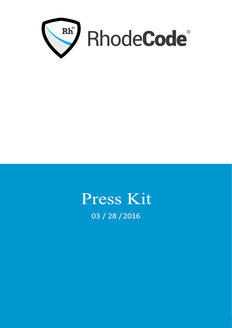

# Press Kit 03 / 28 / 2016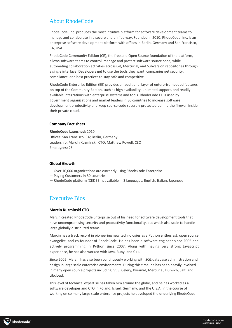## About RhodeCode

RhodeCode, Inc. produces the most intuitive platform for software development teams to manage and collaborate in a secure and unified way. Founded in 2010, RhodeCode, Inc. is an enterprise software development platform with offices in Berlin, Germany and San Francisco, CA, USA.

RhodeCode Community Edition (CE), the free and Open Source foundation of the platform, allows software teams to control, manage and protect software source code, while automating collaboration activities across Git, Mercurial, and Subversion repositories through a single interface. Developers get to use the tools they want; companies get security, compliance, and best practices to stay safe and competitive.

RhodeCode Enterprise Edition (EE) provides an additional layer of enterprise-needed features on top of the Community Edition, such as high availability, unlimited support, and readily available integrations with enterprise systems and tools. RhodeCode EE is used by government organizations and market leaders in 80 countries to increase software development productivity and keep source code securely protected behind the firewall inside their private cloud.

#### **Company Fact sheet**

**RhodeCode Launched:** 2010 Offices: San Francisco, CA; Berlin, Germany Leadership: Marcin Kuzminski, CTO; Matthew Powell, CEO Employees: 25

#### **Global Growth**

- ― Over 10,000 organizations are currently using RhodeCode Enterprise
- ― Paying Customers in 80 countries
- ― RhodeCode platform (CE&EE) is available in 3 languages; English, Italian, Japanese

## Executive Bios

#### **Marcin Kuzminski CTO**

Marcin created RhodeCode Enterprise out of his need for software development tools that have uncompromising security and productivity functionality, but which also scale to handle large globally distributed teams.

Marcin has a track record in pioneering new technologies as a Python enthusiast, open source evangelist, and co-founder of RhodeCode. He has been a software engineer since 2005 and actively programming in Python since 2007. Along with having very strong JavaScript experience, he has also worked with Java, Ruby, and C++.

Since 2005, Marcin has also been continuously working with SQL database administration and design in large scale enterprise environments. During this time, he has been heavily involved in many open source projects including; VCS, Celery, Pyramid, Mercurial, Dulwich, Salt, and Libcloud.

This level of technical expertise has taken him around the globe, and he has worked as a software developer and CTO in Poland, Israel, Germany, and the U.S.A. In the course of working on so many large scale enterprise projects he developed the underlying RhodeCode